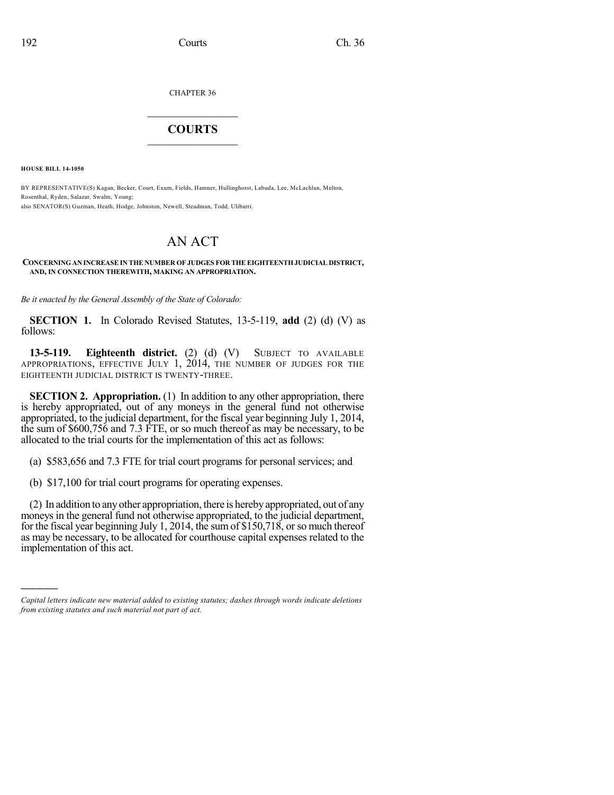CHAPTER 36

## $\mathcal{L}_\text{max}$  . The set of the set of the set of the set of the set of the set of the set of the set of the set of the set of the set of the set of the set of the set of the set of the set of the set of the set of the set **COURTS**  $\_$

**HOUSE BILL 14-1050**

)))))

BY REPRESENTATIVE(S) Kagan, Becker, Court, Exum, Fields, Hamner, Hullinghorst, Labuda, Lee, McLachlan, Melton, Rosenthal, Ryden, Salazar, Swalm, Young; also SENATOR(S) Guzman, Heath, Hodge, Johnston, Newell, Steadman, Todd, Ulibarri.

## AN ACT

## **CONCERNINGAN INCREASE IN THE NUMBER OF JUDGES FOR THE EIGHTEENTHJUDICIAL DISTRICT, AND, IN CONNECTION THEREWITH, MAKING AN APPROPRIATION.**

*Be it enacted by the General Assembly of the State of Colorado:*

**SECTION 1.** In Colorado Revised Statutes, 13-5-119, **add** (2) (d) (V) as follows:

**13-5-119. Eighteenth district.** (2) (d) (V) SUBJECT TO AVAILABLE APPROPRIATIONS, EFFECTIVE JULY 1, 2014, THE NUMBER OF JUDGES FOR THE EIGHTEENTH JUDICIAL DISTRICT IS TWENTY-THREE.

**SECTION 2. Appropriation.** (1) In addition to any other appropriation, there is hereby appropriated, out of any moneys in the general fund not otherwise appropriated, to the judicial department, for the fiscal year beginning July 1, 2014, the sum of \$600,756 and 7.3 FTE, or so much thereof as may be necessary, to be allocated to the trial courts for the implementation of this act as follows:

(a) \$583,656 and 7.3 FTE for trial court programs for personal services; and

(b) \$17,100 for trial court programs for operating expenses.

(2) In addition to anyother appropriation, there is hereby appropriated, out of any moneys in the general fund not otherwise appropriated, to the judicial department, for the fiscal year beginning July 1, 2014, the sum of \$150,718, orso much thereof as may be necessary, to be allocated for courthouse capital expenses related to the implementation of this act.

*Capital letters indicate new material added to existing statutes; dashes through words indicate deletions from existing statutes and such material not part of act.*